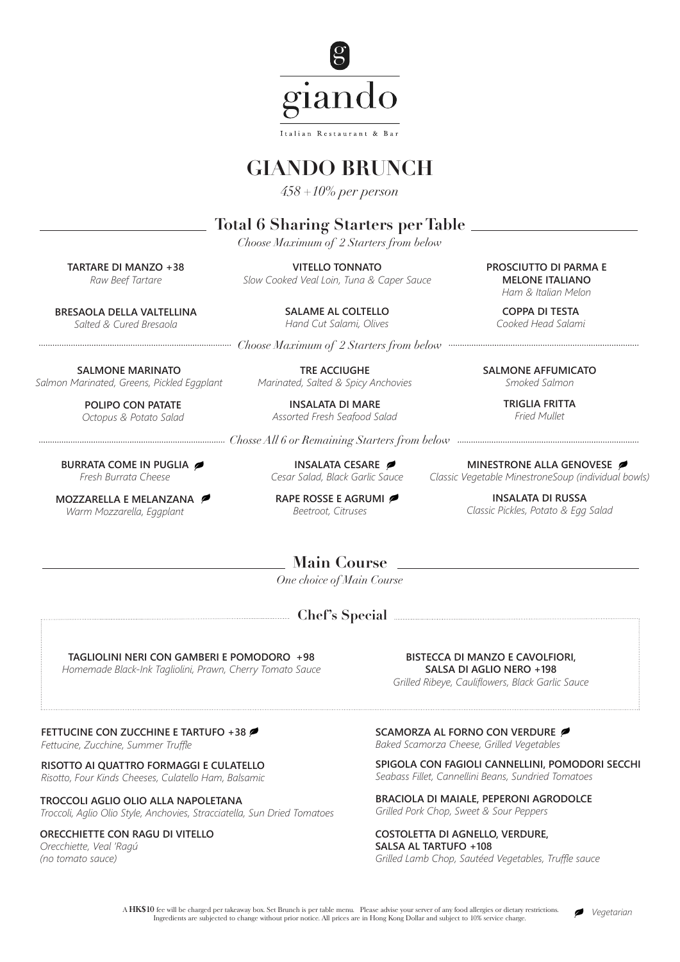

# **GIANDO BRUNCH**

*458 +10% per person*

## **Total 6 Sharing Starters per Table**

*Choose Maximum of 2 Starters from below*

**TARTARE DI MANZO +38** *Raw Beef Tartare*

**BRESAOLA DELLA VALTELLINA** *Salted & Cured Bresaola*

**SALMONE MARINATO**  *Salmon Marinated, Greens, Pickled Eggplant*

> **POLIPO CON PATATE** *Octopus & Potato Salad*

**BURRATA COME IN PUGLIA**  *Fresh Burrata Cheese*

**MOZZARELLA E MELANZANA**  *Warm Mozzarella, Eggplant*

**VITELLO TONNATO** *Slow Cooked Veal Loin, Tuna & Caper Sauce*

> **SALAME AL COLTELLO** *Hand Cut Salami, Olives*

*Choose Maximum of 2 Starters from below*

**TRE ACCIUGHE**  *Marinated, Salted & Spicy Anchovies*

> **INSALATA DI MARE** *Assorted Fresh Seafood Salad*

*Chosse All 6 or Remaining Starters from below*

**INSALATA CESARE**  *Cesar Salad, Black Garlic Sauce* 

**RAPE ROSSE E AGRUMI** *Beetroot, Citruses*

**PROSCIUTTO DI PARMA E MELONE ITALIANO** *Ham & Italian Melon*

**COPPA DI TESTA** *Cooked Head Salami* 

**SALMONE AFFUMICATO**  *Smoked Salmon*

> **TRIGLIA FRITTA**  *Fried Mullet*

**MINESTRONE ALLA GENOVESE**  *Classic Vegetable MinestroneSoup (individual bowls)*

> **INSALATA DI RUSSA** *Classic Pickles, Potato & Egg Salad*

**Main Course**

*One choice of Main Course*

**Chef's Special**

**TAGLIOLINI NERI CON GAMBERI E POMODORO +98** *Homemade Black-Ink Tagliolini, Prawn, Cherry Tomato Sauce*  **BISTECCA DI MANZO E CAVOLFIORI, SALSA DI AGLIO NERO +198**

*Grilled Ribeye, Cauliflowers, Black Garlic Sauce* 

**FETTUCINE CON ZUCCHINE E TARTUFO +38**

*Fettucine, Zucchine, Summer Truffle*

**RISOTTO AI QUATTRO FORMAGGI E CULATELLO**  *Risotto, Four Kinds Cheeses, Culatello Ham, Balsamic* 

**TROCCOLI AGLIO OLIO ALLA NAPOLETANA** *Troccoli, Aglio Olio Style, Anchovies, Stracciatella, Sun Dried Tomatoes* 

**ORECCHIETTE CON RAGU DI VITELLO**

*Orecchiette, Veal 'Ragú (no tomato sauce)*

**SCAMORZA AL FORNO CON VERDURE** 

*Baked Scamorza Cheese, Grilled Vegetables*

**SPIGOLA CON FAGIOLI CANNELLINI, POMODORI SECCHI**  *Seabass Fillet, Cannellini Beans, Sundried Tomatoes* 

**BRACIOLA DI MAIALE, PEPERONI AGRODOLCE** *Grilled Pork Chop, Sweet & Sour Peppers* 

**COSTOLETTA DI AGNELLO, VERDURE, SALSA AL TARTUFO +108** *Grilled Lamb Chop, Sautéed Vegetables, Truffle sauce* 

 A **HK\$10** fee will be charged per takeaway box. Set Brunch is per table menu. Please advise your server of any food allergies or dietary restrictions. Ingredients are subjected to change without prior notice. All prices are in Hong Kong Dollar and subject to 10% service charge.

*Vegetarian*

 $\epsilon$